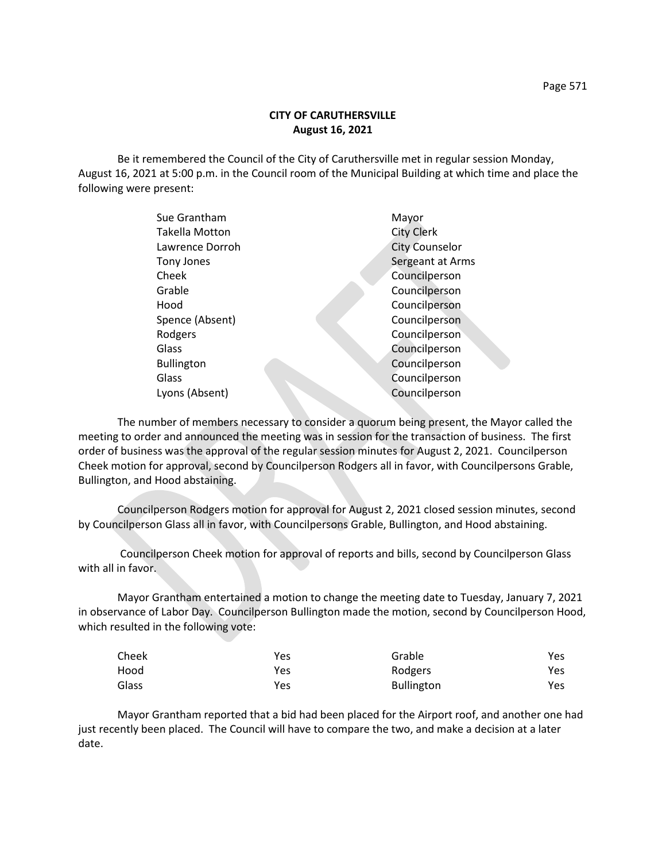## **CITY OF CARUTHERSVILLE August 16, 2021**

Be it remembered the Council of the City of Caruthersville met in regular session Monday, August 16, 2021 at 5:00 p.m. in the Council room of the Municipal Building at which time and place the following were present:

| Sue Grantham          | Mayor                 |
|-----------------------|-----------------------|
| <b>Takella Motton</b> | <b>City Clerk</b>     |
| Lawrence Dorroh       | <b>City Counselor</b> |
| Tony Jones            | Sergeant at Arms      |
| Cheek                 | Councilperson         |
| Grable                | Councilperson         |
| Hood                  | Councilperson         |
| Spence (Absent)       | Councilperson         |
| Rodgers               | Councilperson         |
| Glass                 | Councilperson         |
| <b>Bullington</b>     | Councilperson         |
| Glass                 | Councilperson         |
| Lyons (Absent)        | Councilperson         |
|                       |                       |

The number of members necessary to consider a quorum being present, the Mayor called the meeting to order and announced the meeting was in session for the transaction of business. The first order of business was the approval of the regular session minutes for August 2, 2021. Councilperson Cheek motion for approval, second by Councilperson Rodgers all in favor, with Councilpersons Grable, Bullington, and Hood abstaining.

Councilperson Rodgers motion for approval for August 2, 2021 closed session minutes, second by Councilperson Glass all in favor, with Councilpersons Grable, Bullington, and Hood abstaining.

Councilperson Cheek motion for approval of reports and bills, second by Councilperson Glass with all in favor.

Mayor Grantham entertained a motion to change the meeting date to Tuesday, January 7, 2021 in observance of Labor Day. Councilperson Bullington made the motion, second by Councilperson Hood, which resulted in the following vote:

| Cheek | Yes | Grable            | Yes |
|-------|-----|-------------------|-----|
| Hood  | Yes | Rodgers           | Yes |
| Glass | Yes | <b>Bullington</b> | Yes |

Mayor Grantham reported that a bid had been placed for the Airport roof, and another one had just recently been placed. The Council will have to compare the two, and make a decision at a later date.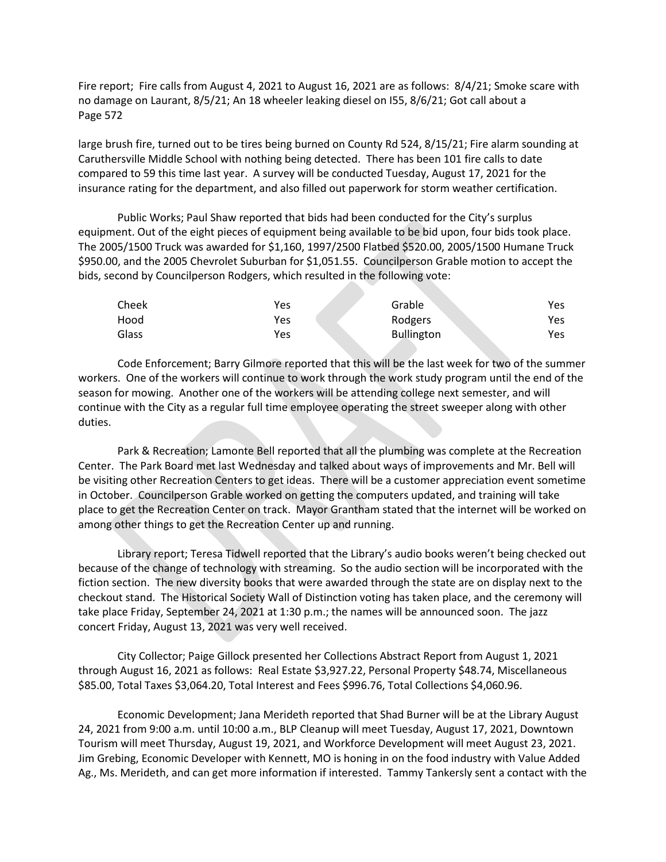Fire report; Fire calls from August 4, 2021 to August 16, 2021 are as follows: 8/4/21; Smoke scare with no damage on Laurant, 8/5/21; An 18 wheeler leaking diesel on I55, 8/6/21; Got call about a Page 572

large brush fire, turned out to be tires being burned on County Rd 524, 8/15/21; Fire alarm sounding at Caruthersville Middle School with nothing being detected. There has been 101 fire calls to date compared to 59 this time last year. A survey will be conducted Tuesday, August 17, 2021 for the insurance rating for the department, and also filled out paperwork for storm weather certification.

Public Works; Paul Shaw reported that bids had been conducted for the City's surplus equipment. Out of the eight pieces of equipment being available to be bid upon, four bids took place. The 2005/1500 Truck was awarded for \$1,160, 1997/2500 Flatbed \$520.00, 2005/1500 Humane Truck \$950.00, and the 2005 Chevrolet Suburban for \$1,051.55. Councilperson Grable motion to accept the bids, second by Councilperson Rodgers, which resulted in the following vote:

| Cheek | Yes | Grable            | Yes |
|-------|-----|-------------------|-----|
| Hood  | Yes | Rodgers           | Yes |
| Glass | Yes | <b>Bullington</b> | Yes |

Code Enforcement; Barry Gilmore reported that this will be the last week for two of the summer workers. One of the workers will continue to work through the work study program until the end of the season for mowing. Another one of the workers will be attending college next semester, and will continue with the City as a regular full time employee operating the street sweeper along with other duties.

Park & Recreation; Lamonte Bell reported that all the plumbing was complete at the Recreation Center. The Park Board met last Wednesday and talked about ways of improvements and Mr. Bell will be visiting other Recreation Centers to get ideas. There will be a customer appreciation event sometime in October. Councilperson Grable worked on getting the computers updated, and training will take place to get the Recreation Center on track. Mayor Grantham stated that the internet will be worked on among other things to get the Recreation Center up and running.

Library report; Teresa Tidwell reported that the Library's audio books weren't being checked out because of the change of technology with streaming. So the audio section will be incorporated with the fiction section. The new diversity books that were awarded through the state are on display next to the checkout stand. The Historical Society Wall of Distinction voting has taken place, and the ceremony will take place Friday, September 24, 2021 at 1:30 p.m.; the names will be announced soon. The jazz concert Friday, August 13, 2021 was very well received.

City Collector; Paige Gillock presented her Collections Abstract Report from August 1, 2021 through August 16, 2021 as follows: Real Estate \$3,927.22, Personal Property \$48.74, Miscellaneous \$85.00, Total Taxes \$3,064.20, Total Interest and Fees \$996.76, Total Collections \$4,060.96.

Economic Development; Jana Merideth reported that Shad Burner will be at the Library August 24, 2021 from 9:00 a.m. until 10:00 a.m., BLP Cleanup will meet Tuesday, August 17, 2021, Downtown Tourism will meet Thursday, August 19, 2021, and Workforce Development will meet August 23, 2021. Jim Grebing, Economic Developer with Kennett, MO is honing in on the food industry with Value Added Ag., Ms. Merideth, and can get more information if interested. Tammy Tankersly sent a contact with the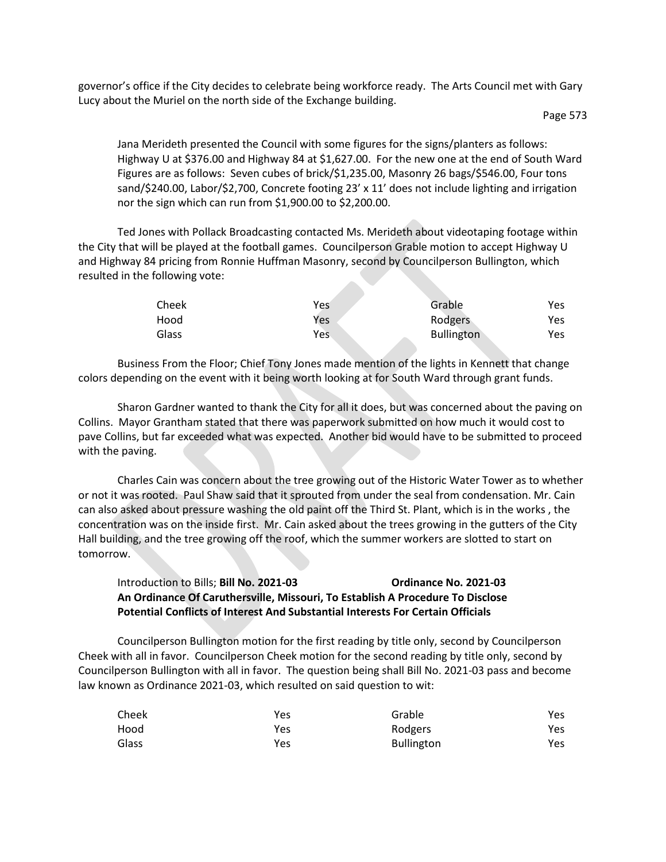governor's office if the City decides to celebrate being workforce ready. The Arts Council met with Gary Lucy about the Muriel on the north side of the Exchange building.

Jana Merideth presented the Council with some figures for the signs/planters as follows: Highway U at \$376.00 and Highway 84 at \$1,627.00. For the new one at the end of South Ward Figures are as follows: Seven cubes of brick/\$1,235.00, Masonry 26 bags/\$546.00, Four tons sand/\$240.00, Labor/\$2,700, Concrete footing 23' x 11' does not include lighting and irrigation nor the sign which can run from \$1,900.00 to \$2,200.00.

Ted Jones with Pollack Broadcasting contacted Ms. Merideth about videotaping footage within the City that will be played at the football games. Councilperson Grable motion to accept Highway U and Highway 84 pricing from Ronnie Huffman Masonry, second by Councilperson Bullington, which resulted in the following vote:

| Cheek | Yes | Grable            | Yes. |
|-------|-----|-------------------|------|
| Hood  | Yes | Rodgers           | Yes  |
| Glass | Yes | <b>Bullington</b> | Yes  |

Business From the Floor; Chief Tony Jones made mention of the lights in Kennett that change colors depending on the event with it being worth looking at for South Ward through grant funds.

Sharon Gardner wanted to thank the City for all it does, but was concerned about the paving on Collins. Mayor Grantham stated that there was paperwork submitted on how much it would cost to pave Collins, but far exceeded what was expected. Another bid would have to be submitted to proceed with the paving.

Charles Cain was concern about the tree growing out of the Historic Water Tower as to whether or not it was rooted. Paul Shaw said that it sprouted from under the seal from condensation. Mr. Cain can also asked about pressure washing the old paint off the Third St. Plant, which is in the works , the concentration was on the inside first. Mr. Cain asked about the trees growing in the gutters of the City Hall building, and the tree growing off the roof, which the summer workers are slotted to start on tomorrow.

## Introduction to Bills; **Bill No. 2021-03 Ordinance No. 2021-03 An Ordinance Of Caruthersville, Missouri, To Establish A Procedure To Disclose Potential Conflicts of Interest And Substantial Interests For Certain Officials**

Councilperson Bullington motion for the first reading by title only, second by Councilperson Cheek with all in favor. Councilperson Cheek motion for the second reading by title only, second by Councilperson Bullington with all in favor. The question being shall Bill No. 2021-03 pass and become law known as Ordinance 2021-03, which resulted on said question to wit:

| Cheek | Yes | Grable            | Yes |
|-------|-----|-------------------|-----|
| Hood  | Yes | Rodgers           | Yes |
| Glass | Yes | <b>Bullington</b> | Yes |